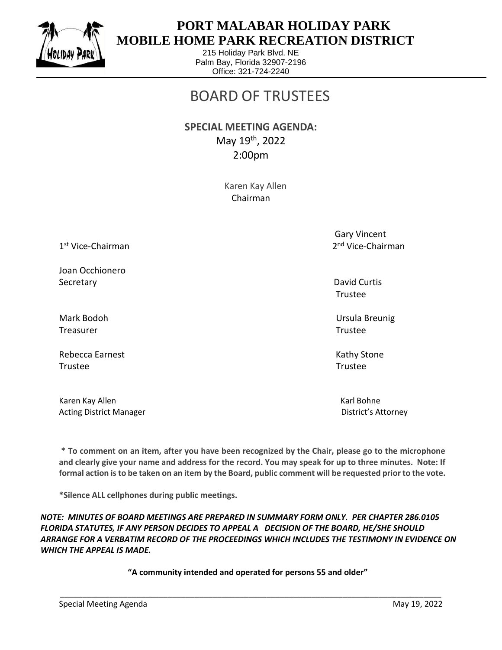

 $\overline{a}$ 

## **PORT MALABAR HOLIDAY PARK MOBILE HOME PARK RECREATION DISTRICT**

215 Holiday Park Blvd. NE Palm Bay, Florida 32907-2196 Office: 321-724-2240

## BOARD OF TRUSTEES

**SPECIAL MEETING AGENDA:**  May 19th, 2022 2:00pm

> Karen Kay Allen Chairman

1 st Vice-Chairman 2

Joan Occhionero Secretary David Curtis Control of the Curtis Control of the David Curtis Control of the David Curtis Control of the David Curtis Control of the David Curtis Control of the David Curtis Control of the David Curtis Control o

Treasurer Trustee

Rebecca Earnest **Kathy Stone** Kathy Stone Trustee Trustee

Karen Kay Allen Karl Bohne Karl Bohne Karl Bohne Karl Bohne Karl Bohne Karl Bohne Karl Bohne Karl Bohne Karl Bohne Acting District Manager **District's Attorney** 

 Gary Vincent 2<sup>nd</sup> Vice-Chairman

Trustee

Mark Bodoh Ursula Breunig

**\* To comment on an item, after you have been recognized by the Chair, please go to the microphone and clearly give your name and address for the record. You may speak for up to three minutes. Note: If formal action is to be taken on an item by the Board, public comment will be requested prior to the vote.**

**\*Silence ALL cellphones during public meetings.**

*NOTE: MINUTES OF BOARD MEETINGS ARE PREPARED IN SUMMARY FORM ONLY. PER CHAPTER 286.0105 FLORIDA STATUTES, IF ANY PERSON DECIDES TO APPEAL A DECISION OF THE BOARD, HE/SHE SHOULD ARRANGE FOR A VERBATIM RECORD OF THE PROCEEDINGS WHICH INCLUDES THE TESTIMONY IN EVIDENCE ON WHICH THE APPEAL IS MADE.*

**"A community intended and operated for persons 55 and older"**

\_\_\_\_\_\_\_\_\_\_\_\_\_\_\_\_\_\_\_\_\_\_\_\_\_\_\_\_\_\_\_\_\_\_\_\_\_\_\_\_\_\_\_\_\_\_\_\_\_\_\_\_\_\_\_\_\_\_\_\_\_\_\_\_\_\_\_\_\_\_\_\_\_\_\_\_\_\_\_\_\_\_\_\_\_